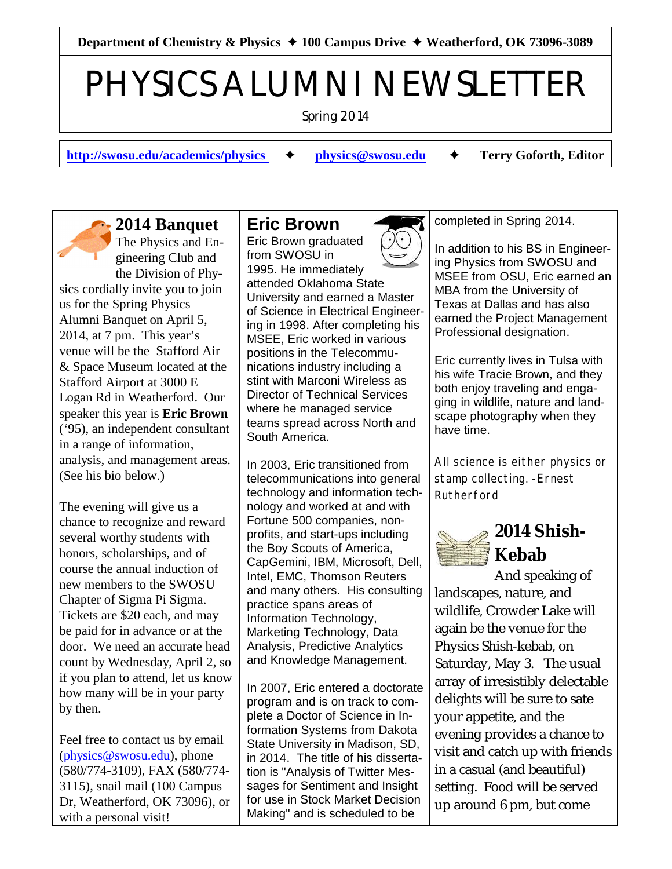Department of Chemistry & Physics **→ 100 Campus Drive → Weatherford, OK 73096-3089** 

# PHYSICS ALUMNI NEWSLETTER

Spring 2014

**[http://swosu.edu/academics/physics](http://swosu.edu/academics/physics%20)**  $\rightarrow$  **[physics@swosu.edu](mailto:physics@swosu.edu)**  $\rightarrow$  Terry Goforth, Editor

## **2014 Banquet**

The Physics and Engineering Club and the Division of Physics cordially invite you to join us for the Spring Physics Alumni Banquet on April 5, 2014, at 7 pm. This year's venue will be the Stafford Air & Space Museum located at the Stafford Airport at 3000 E Logan Rd in Weatherford. Our speaker this year is **Eric Brown** ('95), an independent consultant in a range of information, analysis, and management areas. (See his bio below.)

The evening will give us a chance to recognize and reward several worthy students with honors, scholarships, and of course the annual induction of new members to the SWOSU Chapter of Sigma Pi Sigma. Tickets are \$20 each, and may be paid for in advance or at the door. We need an accurate head count by Wednesday, April 2, so if you plan to attend, let us know how many will be in your party by then.

Feel free to contact us by email [\(physics@swosu.edu](mailto:physics@swosu.edu)), phone (580/774-3109), FAX (580/774- 3115), snail mail (100 Campus Dr, Weatherford, OK 73096), or with a personal visit!

#### **Eric Brown**

Eric Brown graduated from SWOSU in 1995. He immediately attended Oklahoma State University and earned a Master of Science in Electrical Engineering in 1998. After completing his MSEE, Eric worked in various positions in the Telecommunications industry including a stint with Marconi Wireless as Director of Technical Services where he managed service teams spread across North and South America.

In 2003, Eric transitioned from telecommunications into general technology and information technology and worked at and with Fortune 500 companies, nonprofits, and start-ups including the Boy Scouts of America, CapGemini, IBM, Microsoft, Dell, Intel, EMC, Thomson Reuters and many others. His consulting practice spans areas of Information Technology, Marketing Technology, Data Analysis, Predictive Analytics and Knowledge Management.

In 2007, Eric entered a doctorate program and is on track to complete a Doctor of Science in Information Systems from Dakota State University in Madison, SD, in 2014. The title of his dissertation is "Analysis of Twitter Messages for Sentiment and Insight for use in Stock Market Decision Making" and is scheduled to be

completed in Spring 2014.

In addition to his BS in Engineering Physics from SWOSU and MSEE from OSU, Eric earned an MBA from the University of Texas at Dallas and has also earned the Project Management Professional designation.

Eric currently lives in Tulsa with his wife Tracie Brown, and they both enjoy traveling and engaging in wildlife, nature and landscape photography when they have time.

*All science is either physics or stamp collecting. -Ernest Rutherford*

# **2014 Shish-Kebab**

And speaking of landscapes, nature, and wildlife, Crowder Lake will again be the venue for the Physics Shish-kebab, on Saturday, May 3. The usual array of irresistibly delectable delights will be sure to sate your appetite, and the evening provides a chance to visit and catch up with friends in a casual (and beautiful) setting. Food will be served up around 6 pm, but come

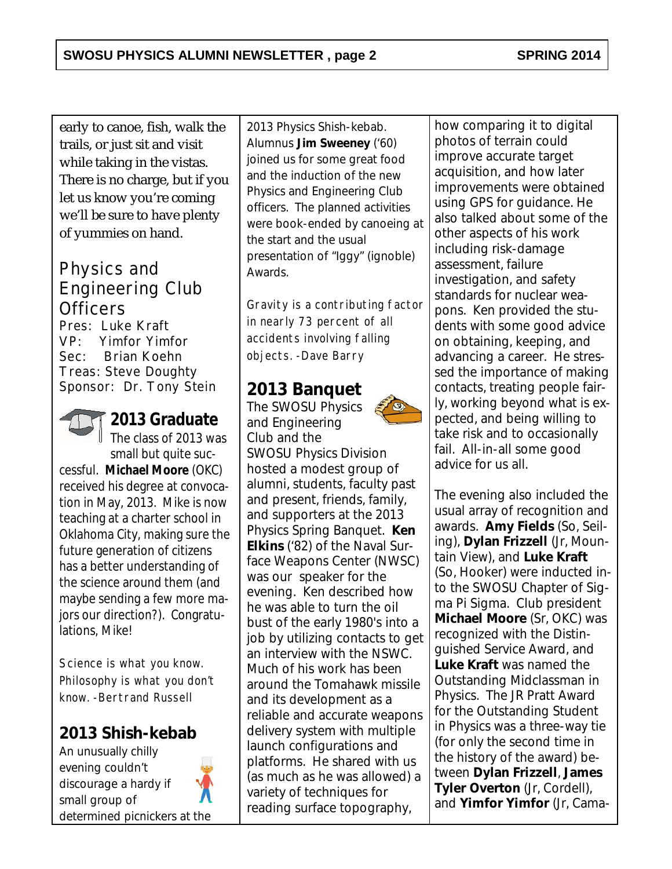early to canoe, fish, walk the trails, or just sit and visit while taking in the vistas. There is no charge, but if you let us know you're coming we'll be sure to have plenty of yummies on hand.

## Physics and Engineering Club **Officers**

Pres: Luke Kraft VP: Yimfor Yimfor Sec: Brian Koehn Treas: Steve Doughty Sponsor: Dr. Tony Stein



**2013 Graduate** The class of 2013 was

small but quite successful. **Michael Moore** (OKC) received his degree at convocation in May, 2013. Mike is now teaching at a charter school in Oklahoma City, making sure the future generation of citizens has a better understanding of the science around them (and maybe sending a few more majors our direction?). Congratulations, Mike!

*Science is what you know. Philosophy is what you don't know. -Bertrand Russell*

**2013 Shish-kebab**

An unusually chilly evening couldn't discourage a hardy if small group of determined picnickers at the



2013 Physics Shish-kebab. Alumnus **Jim Sweeney** ('60) joined us for some great food and the induction of the new Physics and Engineering Club officers. The planned activities were book-ended by canoeing at the start and the usual presentation of "Iggy" (ignoble) Awards.

*Gravity is a contributing factor in nearly 73 percent of all accidents involving falling objects. -Dave Barry*

#### **2013 Banquet**

The SWOSU Physics and Engineering Club and the SWOSU Physics Division hosted a modest group of alumni, students, faculty past and present, friends, family, and supporters at the 2013 Physics Spring Banquet. **Ken Elkins** ('82) of the Naval Surface Weapons Center (NWSC) was our speaker for the evening. Ken described how he was able to turn the oil bust of the early 1980's into a job by utilizing contacts to get an interview with the NSWC. Much of his work has been around the Tomahawk missile and its development as a reliable and accurate weapons delivery system with multiple launch configurations and platforms. He shared with us (as much as he was allowed) a variety of techniques for reading surface topography,



how comparing it to digital photos of terrain could improve accurate target acquisition, and how later improvements were obtained using GPS for guidance. He also talked about some of the other aspects of his work including risk-damage assessment, failure investigation, and safety standards for nuclear weapons. Ken provided the students with some good advice on obtaining, keeping, and advancing a career. He stressed the importance of making contacts, treating people fairly, working beyond what is expected, and being willing to take risk and to occasionally fail. All-in-all some good advice for us all.

The evening also included the usual array of recognition and awards. **Amy Fields** (So, Seiling), **Dylan Frizzell** (Jr, Mountain View), and **Luke Kraft** (So, Hooker) were inducted into the SWOSU Chapter of Sigma Pi Sigma. Club president **Michael Moore** (Sr, OKC) was recognized with the Distinguished Service Award, and **Luke Kraft** was named the Outstanding Midclassman in Physics. The JR Pratt Award for the Outstanding Student in Physics was a three-way tie (for only the second time in the history of the award) between **Dylan Frizzell**, **James Tyler Overton** (Jr, Cordell), and **Yimfor Yimfor** (Jr, Cama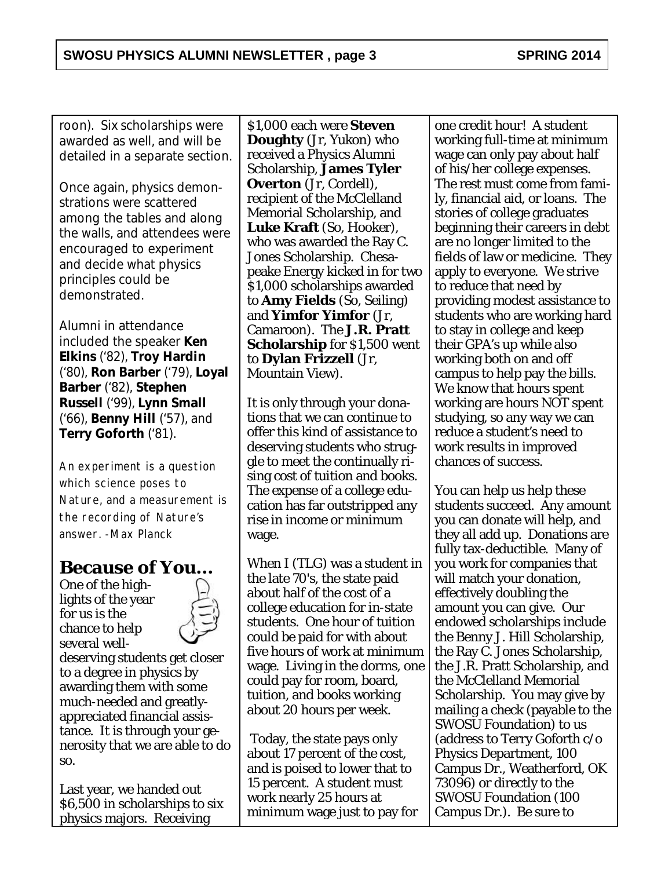roon). Six scholarships were awarded as well, and will be detailed in a separate section.

Once again, physics demonstrations were scattered among the tables and along the walls, and attendees were encouraged to experiment and decide what physics principles could be demonstrated.

Alumni in attendance included the speaker **Ken Elkins** ('82), **Troy Hardin** ('80), **Ron Barber** ('79), **Loyal Barber** ('82), **Stephen Russell** ('99), **Lynn Small** ('66), **Benny Hill** ('57), and **Terry Goforth** ('81).

*An experiment is a question which science poses to Nature, and a measurement is the recording of Nature's answer. -Max Planck*

## **Because of You...**

One of the highlights of the year for us is the chance to help several well-



deserving students get closer to a degree in physics by awarding them with some much-needed and greatlyappreciated financial assistance. It is through your generosity that we are able to do so.

Last year, we handed out \$6,500 in scholarships to six physics majors. Receiving

\$1,000 each were **Steven Doughty** (Jr, Yukon) who received a Physics Alumni Scholarship, **James Tyler Overton** (Jr, Cordell), recipient of the McClelland Memorial Scholarship, and **Luke Kraft** (So, Hooker), who was awarded the Ray C. Jones Scholarship. Chesapeake Energy kicked in for two \$1,000 scholarships awarded to **Amy Fields** (So, Seiling) and **Yimfor Yimfor** (Jr, Camaroon). The **J.R. Pratt Scholarship** for \$1,500 went to **Dylan Frizzell** (Jr, Mountain View).

It is only through your donations that we can continue to offer this kind of assistance to deserving students who struggle to meet the continually rising cost of tuition and books. The expense of a college education has far outstripped any rise in income or minimum wage.

When I (TLG) was a student in the late 70's, the state paid about half of the cost of a college education for in-state students. One hour of tuition could be paid for with about five hours of work at minimum wage. Living in the dorms, one could pay for room, board, tuition, and books working about 20 hours per week.

 Today, the state pays only about 17 percent of the cost, and is poised to lower that to 15 percent. A student must work nearly 25 hours at minimum wage just to pay for one credit hour! A student working full-time at minimum wage can only pay about half of his/her college expenses. The rest must come from family, financial aid, or loans. The stories of college graduates beginning their careers in debt are no longer limited to the fields of law or medicine. They apply to everyone. We strive to reduce that need by providing modest assistance to students who are working hard to stay in college and keep their GPA's up while also working both on and off campus to help pay the bills. We know that hours spent working are hours NOT spent studying, so any way we can reduce a student's need to work results in improved chances of success.

You can help us help these students succeed. Any amount you can donate will help, and they all add up. Donations are fully tax-deductible. Many of you work for companies that will match your donation, effectively doubling the amount you can give. Our endowed scholarships include the Benny J. Hill Scholarship, the Ray C. Jones Scholarship, the J.R. Pratt Scholarship, and the McClelland Memorial Scholarship. You may give by mailing a check (payable to the SWOSU Foundation) to us (address to Terry Goforth c/o Physics Department, 100 Campus Dr., Weatherford, OK 73096) or directly to the SWOSU Foundation (100 Campus Dr.). Be sure to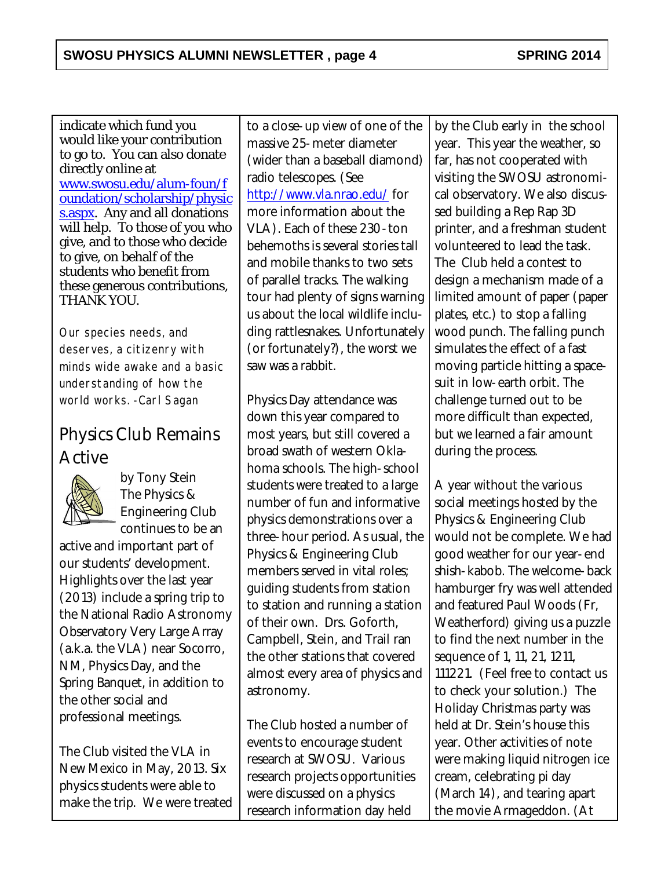indicate which fund you would like your contribution to go to. You can also donate directly online at [www.swosu.edu/alum-foun/f](http://www.swosu.edu/alum-foun/foundation/scholarship/physics.aspx) [oundation/scholarship/physic](http://www.swosu.edu/alum-foun/foundation/scholarship/physics.aspx) [s.aspx](http://www.swosu.edu/alum-foun/foundation/scholarship/physics.aspx). Any and all donations will help. To those of you who give, and to those who decide to give, on behalf of the students who benefit from these generous contributions, THANK YOU.

*Our species needs, and deserves, a citizenry with minds wide awake and a basic understanding of how the world works. -Carl Sagan*

# Physics Club Remains Active



*by Tony Stein* The Physics & Engineering Club continues to be an

active and important part of our students' development. Highlights over the last year (2013) include a spring trip to the National Radio Astronomy Observatory Very Large Array (a.k.a. the VLA) near Socorro, NM, Physics Day, and the Spring Banquet, in addition to the other social and professional meetings.

The Club visited the VLA in New Mexico in May, 2013. Six physics students were able to make the trip. We were treated

to a close-up view of one of the massive 25-meter diameter (wider than a baseball diamond) radio telescopes. (See <http://www.vla.nrao.edu/> for more information about the VLA). Each of these 230-ton behemoths is several stories tall and mobile thanks to two sets of parallel tracks. The walking tour had plenty of signs warning us about the local wildlife including rattlesnakes. Unfortunately (or fortunately?), the worst we saw was a rabbit.

Physics Day attendance was down this year compared to most years, but still covered a broad swath of western Oklahoma schools. The high-school students were treated to a large number of fun and informative physics demonstrations over a three-hour period. As usual, the Physics & Engineering Club members served in vital roles; guiding students from station to station and running a station of their own. Drs. Goforth, Campbell, Stein, and Trail ran the other stations that covered almost every area of physics and astronomy.

The Club hosted a number of events to encourage student research at SWOSU. Various research projects opportunities were discussed on a physics research information day held

by the Club early in the school year. This year the weather, so far, has not cooperated with visiting the SWOSU astronomical observatory. We also discussed building a Rep Rap 3D printer, and a freshman student volunteered to lead the task. The Club held a contest to design a mechanism made of a limited amount of paper (paper plates, *etc*.) to stop a falling wood punch. The falling punch simulates the effect of a fast moving particle hitting a spacesuit in low-earth orbit. The challenge turned out to be more difficult than expected, but we learned a fair amount during the process.

A year without the various social meetings hosted by the Physics & Engineering Club would not be complete. We had good weather for our year-end shish-kabob. The welcome-back hamburger fry was well attended and featured Paul Woods (Fr, Weatherford) giving us a puzzle to find the next number in the sequence of 1, 11, 21, 1211, 111221. (Feel free to contact us to check your solution.) The Holiday Christmas party was held at Dr. Stein's house this year. Other activities of note were making liquid nitrogen ice cream, celebrating pi day (March 14), and tearing apart the movie Armageddon. (At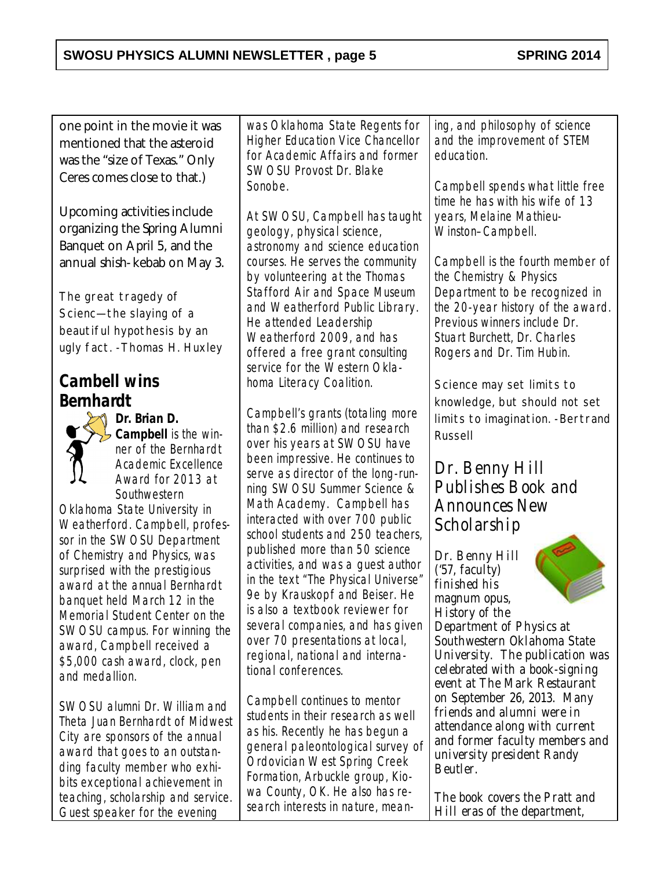one point in the movie it was mentioned that the asteroid was the "size of Texas." Only Ceres comes close to that.)

Upcoming activities include organizing the Spring Alumni Banquet on April 5, and the annual shish-kebab on May 3.

*The great tragedy of Scienc—the slaying of a beautiful hypothesis by an ugly fact. -Thomas H. Huxley*

## **Cambell wins Bernhardt**



**Dr. Brian D. Campbell** is the winner of the Bernhardt Academic Excellence Award for 2013 at **Southwestern** 

Oklahoma State University in Weatherford. Campbell, professor in the SWOSU Department of Chemistry and Physics, was surprised with the prestigious award at the annual Bernhardt banquet held March 12 in the Memorial Student Center on the SWOSU campus. For winning the award, Campbell received a \$5,000 cash award, clock, pen and medallion.

SWOSU alumni Dr. William and Theta Juan Bernhardt of Midwest City are sponsors of the annual award that goes to an outstanding faculty member who exhibits exceptional achievement in teaching, scholarship and service. Guest speaker for the evening

was Oklahoma State Regents for Higher Education Vice Chancellor for Academic Affairs and former SWOSU Provost Dr. Blake Sonobe.

At SWOSU, Campbell has taught geology, physical science, astronomy and science education courses. He serves the community by volunteering at the Thomas Stafford Air and Space Museum and Weatherford Public Library. He attended Leadership Weatherford 2009, and has offered a free grant consulting service for the Western Oklahoma Literacy Coalition.

Campbell's grants (totaling more than \$2.6 million) and research over his years at SWOSU have been impressive. He continues to serve as director of the long-running SWOSU Summer Science & Math Academy. Campbell has interacted with over 700 public school students and 250 teachers, published more than 50 science activities, and was a guest author in the text "The Physical Universe" 9e by Krauskopf and Beiser. He is also a textbook reviewer for several companies, and has given over 70 presentations at local, regional, national and international conferences.

Campbell continues to mentor students in their research as well as his. Recently he has begun a general paleontological survey of Ordovician West Spring Creek Formation, Arbuckle group, Kiowa County, OK. He also has research interests in nature, meaning, and philosophy of science and the improvement of STEM education.

Campbell spends what little free time he has with his wife of 13 years, Melaine Mathieu-Winston–Campbell.

Campbell is the fourth member of the Chemistry & Physics Department to be recognized in the 20-year history of the award. Previous winners include Dr. Stuart Burchett, Dr. Charles Rogers and Dr. Tim Hubin.

*Science may set limits to knowledge, but should not set limits to imagination. -Bertrand Russell*

## Dr. Benny Hill Publishes Book and Announces New Scholarship

Dr. Benny Hill  $('57.$  faculty) finished his magnum opus, *History of the Department of Physics at Southwestern Oklahoma State University*. The publication was celebrated with a book-signing event at The Mark Restaurant on September 26, 2013. Many friends and alumni were in attendance along with current and former faculty members and university president Randy Beutler.

The book covers the Pratt and Hill eras of the department,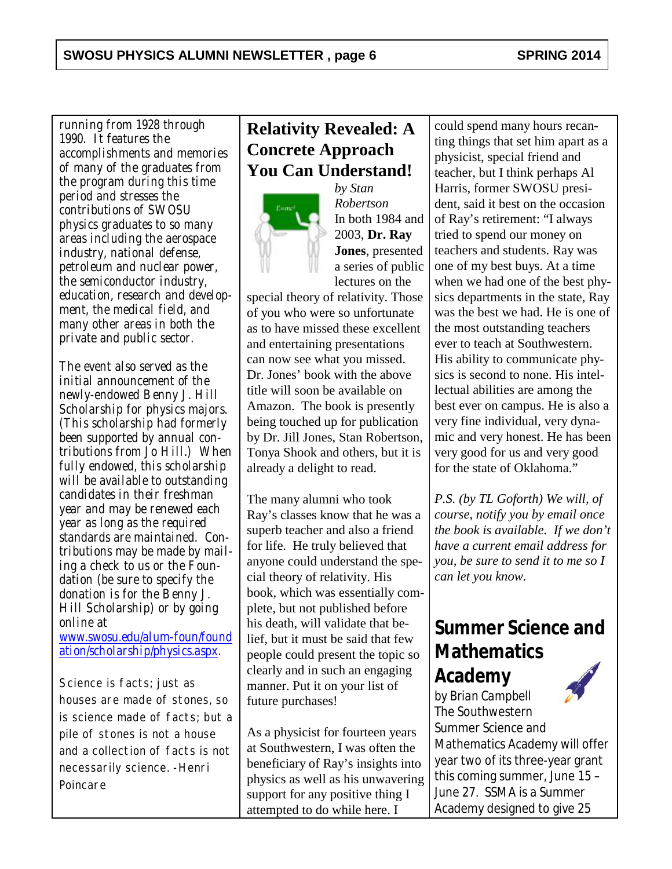running from 1928 through 1990. It features the accomplishments and memories of many of the graduates from the program during this time period and stresses the contributions of SWOSU physics graduates to so many areas including the aerospace industry, national defense, petroleum and nuclear power, the semiconductor industry, education, research and development, the medical field, and many other areas in both the private and public sector.

The event also served as the initial announcement of the newly-endowed Benny J. Hill Scholarship for physics majors. (This scholarship had formerly been supported by annual contributions from Jo Hill.) When fully endowed, this scholarship will be available to outstanding candidates in their freshman year and may be renewed each year as long as the required standards are maintained. Contributions may be made by mailing a check to us or the Foundation (be sure to specify the donation is for the Benny J. Hill Scholarship) or by going online at

[www.swosu.edu/alum-foun/found](http://www.swosu.edu/alum-foun/foundation/scholarship/physics.aspx) [ation/scholarship/physics.aspx](http://www.swosu.edu/alum-foun/foundation/scholarship/physics.aspx).

*Science is facts; just as houses are made of stones, so is science made of facts; but a pile of stones is not a house and a collection of facts is not necessarily science. -Henri Poincare*

# **Relativity Revealed: A Concrete Approach You Can Understand!**



*by Stan Robertson* In both 1984 and 2003, **Dr. Ray Jones**, presented a series of public lectures on the

special theory of relativity. Those of you who were so unfortunate as to have missed these excellent and entertaining presentations can now see what you missed. Dr. Jones' book with the above title will soon be available on Amazon. The book is presently being touched up for publication by Dr. Jill Jones, Stan Robertson, Tonya Shook and others, but it is already a delight to read.

The many alumni who took Ray's classes know that he was a superb teacher and also a friend for life. He truly believed that anyone could understand the special theory of relativity. His book, which was essentially complete, but not published before his death, will validate that belief, but it must be said that few people could present the topic so clearly and in such an engaging manner. Put it on your list of future purchases!

As a physicist for fourteen years at Southwestern, I was often the beneficiary of Ray's insights into physics as well as his unwavering support for any positive thing I attempted to do while here. I

could spend many hours recanting things that set him apart as a physicist, special friend and teacher, but I think perhaps Al Harris, former SWOSU president, said it best on the occasion of Ray's retirement: "I always tried to spend our money on teachers and students. Ray was one of my best buys. At a time when we had one of the best physics departments in the state, Ray was the best we had. He is one of the most outstanding teachers ever to teach at Southwestern. His ability to communicate physics is second to none. His intellectual abilities are among the best ever on campus. He is also a very fine individual, very dynamic and very honest. He has been very good for us and very good for the state of Oklahoma."

*P.S. (by TL Goforth) We will, of course, notify you by email once the book is available. If we don't have a current email address for you, be sure to send it to me so I can let you know.*

# **Summer Science and Mathematics**

**Academy** *by Brian Campbell* The Southwestern Summer Science and Mathematics Academy will offer year two of its three-year grant this coming summer, June 15 – June 27. SSMA is a Summer Academy designed to give 25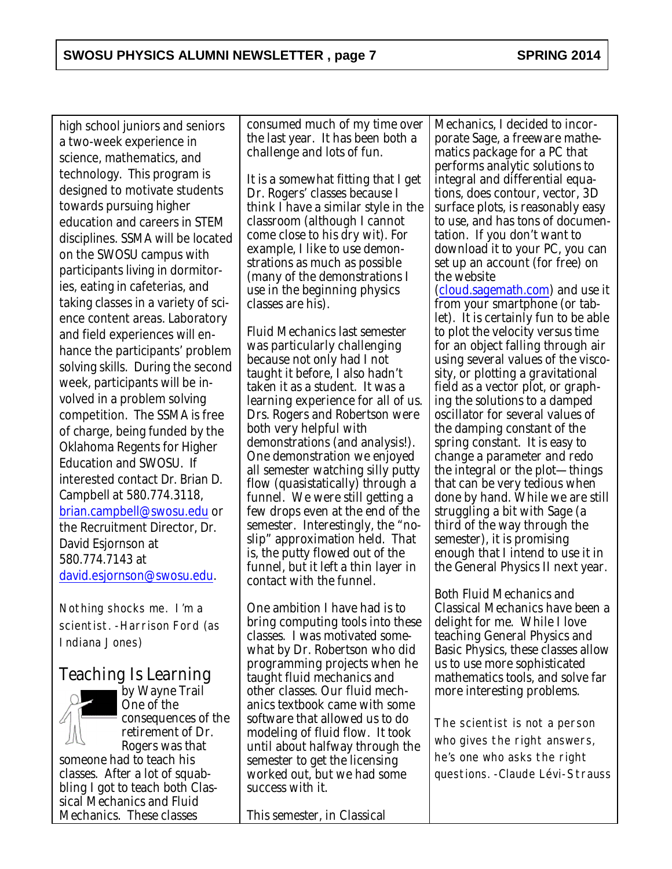high school juniors and seniors a two-week experience in science, mathematics, and technology. This program is designed to motivate students towards pursuing higher education and careers in STEM disciplines. SSMA will be located on the SWOSU campus with participants living in dormitories, eating in cafeterias, and taking classes in a variety of science content areas. Laboratory and field experiences will enhance the participants' problem solving skills. During the second week, participants will be involved in a problem solving competition. The SSMA is free of charge, being funded by the Oklahoma Regents for Higher Education and SWOSU. If interested contact Dr. Brian D. Campbell at 580.774.3118, [brian.campbell@swosu.edu](mailto:brian.campbell@swosu.edu) or the Recruitment Director, Dr. David Esjornson at 580.774.7143 at [david.esjornson@swosu.edu](mailto:david.esjornson@swosu.edu).

*Nothing shocks me. I'm a scientist. -Harrison Ford (as Indiana Jones)*

## Teaching Is Learning



*by Wayne Trail* One of the consequences of the retirement of Dr. Rogers was that someone had to teach his

classes. After a lot of squabbling I got to teach both Classical Mechanics and Fluid Mechanics. These classes

consumed much of my time over the last year. It has been both a challenge and lots of fun.

It is a somewhat fitting that I get Dr. Rogers' classes because I think I have a similar style in the classroom (although I cannot come close to his dry wit). For example, I like to use demonstrations as much as possible (many of the demonstrations I use in the beginning physics classes are his).

Fluid Mechanics last semester was particularly challenging because not only had I not taught it before, I also hadn't taken it as a student. It was a learning experience for all of us. Drs. Rogers and Robertson were both very helpful with demonstrations (and analysis!). One demonstration we enjoyed all semester watching silly putty flow (quasistatically) through a funnel. We were still getting a few drops even at the end of the semester. Interestingly, the "noslip" approximation held. That is, the putty flowed out of the funnel, but it left a thin layer in contact with the funnel.

One ambition I have had is to bring computing tools into these classes. I was motivated somewhat by Dr. Robertson who did programming projects when he taught fluid mechanics and other classes. Our fluid mechanics textbook came with some software that allowed us to do modeling of fluid flow. It took until about halfway through the semester to get the licensing worked out, but we had some success with it.

This semester, in Classical

Mechanics, I decided to incorporate Sage, a freeware mathematics package for a PC that performs analytic solutions to integral and differential equations, does contour, vector, 3D surface plots, is reasonably easy to use, and has tons of documentation. If you don't want to download it to your PC, you can set up an account (for free) on the website

[\(cloud.sagemath.com](http://cloud.sagemath.com)) and use it from your smartphone (or tablet). It is certainly fun to be able to plot the velocity versus time for an object falling through air using several values of the viscosity, or plotting a gravitational field as a vector plot, or graphing the solutions to a damped oscillator for several values of the damping constant of the spring constant. It is easy to change a parameter and redo the integral or the plot—things that can be very tedious when done by hand. While we are still struggling a bit with Sage (a third of the way through the semester), it is promising enough that I intend to use it in the General Physics II next year.

Both Fluid Mechanics and Classical Mechanics have been a delight for me. While I love teaching General Physics and Basic Physics, these classes allow us to use more sophisticated mathematics tools, and solve far more interesting problems.

*The scientist is not a person who gives the right answers, he's one who asks the right questions. -Claude Lévi-Strauss*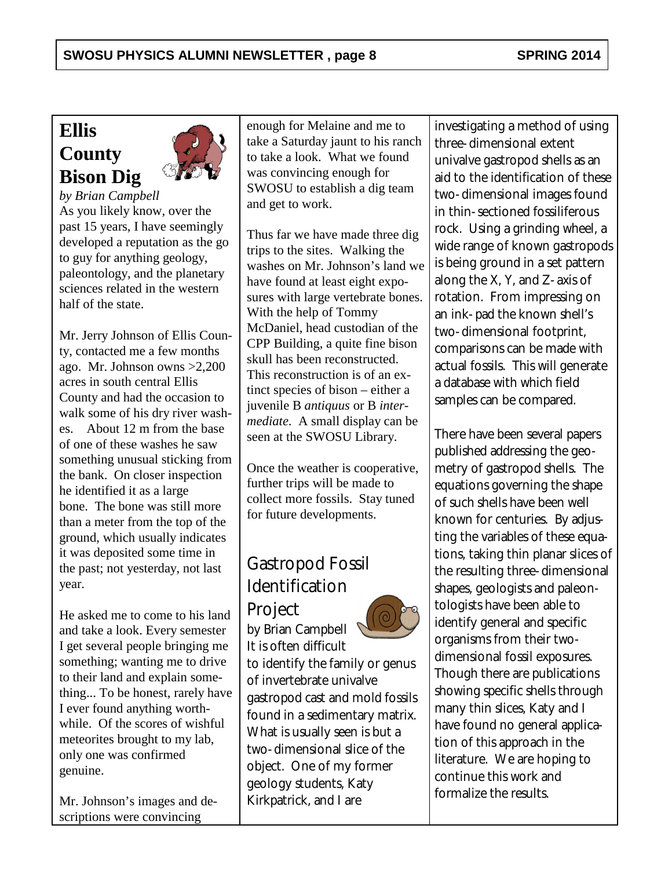# **Ellis County Bison Dig**



*by Brian Campbell* As you likely know, over the past 15 years, I have seemingly developed a reputation as the go to guy for anything geology, paleontology, and the planetary sciences related in the western half of the state.

Mr. Jerry Johnson of Ellis County, contacted me a few months ago. Mr. Johnson owns >2,200 acres in south central Ellis County and had the occasion to walk some of his dry river washes. About 12 m from the base of one of these washes he saw something unusual sticking from the bank. On closer inspection he identified it as a large bone. The bone was still more than a meter from the top of the ground, which usually indicates it was deposited some time in the past; not yesterday, not last year.

He asked me to come to his land and take a look. Every semester I get several people bringing me something; wanting me to drive to their land and explain something... To be honest, rarely have I ever found anything worthwhile. Of the scores of wishful meteorites brought to my lab, only one was confirmed genuine.

Mr. Johnson's images and descriptions were convincing

enough for Melaine and me to take a Saturday jaunt to his ranch to take a look. What we found was convincing enough for SWOSU to establish a dig team and get to work.

Thus far we have made three dig trips to the sites. Walking the washes on Mr. Johnson's land we have found at least eight exposures with large vertebrate bones. With the help of Tommy McDaniel, head custodian of the CPP Building, a quite fine bison skull has been reconstructed. This reconstruction is of an extinct species of bison – either a juvenile B *antiquus* or B *intermediate*. A small display can be seen at the SWOSU Library.

Once the weather is cooperative, further trips will be made to collect more fossils. Stay tuned for future developments.

# Gastropod Fossil Identification **Project**

*by Brian Campbell* It is often difficult



to identify the family or genus of invertebrate univalve gastropod cast and mold fossils found in a sedimentary matrix. What is usually seen is but a two-dimensional slice of the object. One of my former geology students, Katy Kirkpatrick, and I are

investigating a method of using three-dimensional extent univalve gastropod shells as an aid to the identification of these two-dimensional images found in thin-sectioned fossiliferous rock. Using a grinding wheel, a wide range of known gastropods is being ground in a set pattern along the X, Y, and Z-axis of rotation. From impressing on an ink-pad the known shell's two-dimensional footprint, comparisons can be made with actual fossils. This will generate a database with which field samples can be compared.

There have been several papers published addressing the geometry of gastropod shells. The equations governing the shape of such shells have been well known for centuries. By adjusting the variables of these equations, taking thin planar slices of the resulting three-dimensional shapes, geologists and paleontologists have been able to identify general and specific organisms from their twodimensional fossil exposures. Though there are publications showing specific shells through many thin slices, Katy and I have found no general application of this approach in the literature. We are hoping to continue this work and formalize the results.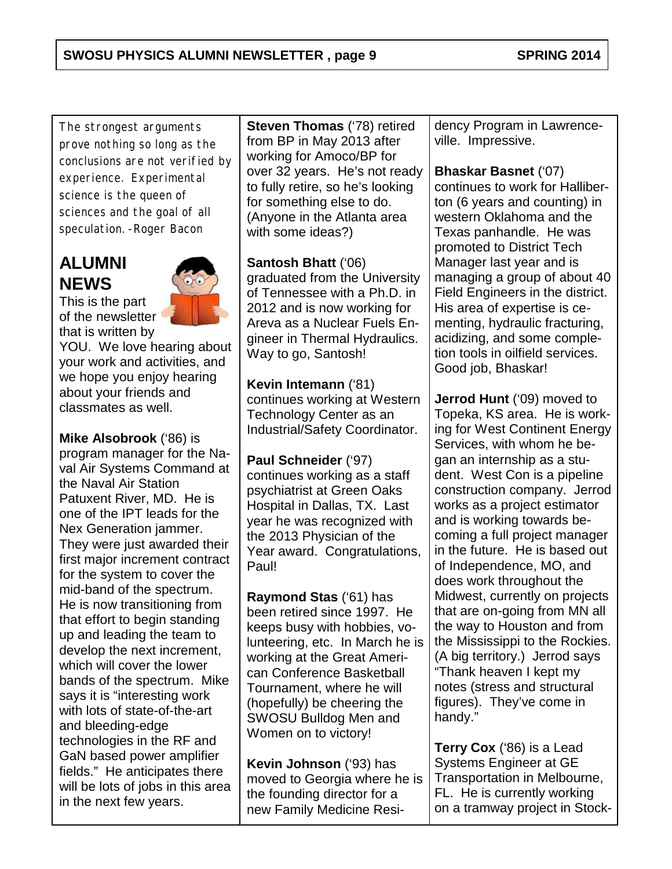*The strongest arguments prove nothing so long as the conclusions are not verified by experience. Experimental science is the queen of sciences and the goal of all speculation. -Roger Bacon*

# **ALUMNI NEWS**



This is the part of the newsletter that is written by

YOU. We love hearing about your work and activities, and we hope you enjoy hearing about your friends and classmates as well.

**Mike Alsobrook** ('86) is program manager for the Naval Air Systems Command at the Naval Air Station Patuxent River, MD. He is one of the IPT leads for the Nex Generation jammer. They were just awarded their first major increment contract for the system to cover the mid-band of the spectrum. He is now transitioning from that effort to begin standing up and leading the team to develop the next increment, which will cover the lower bands of the spectrum. Mike says it is "interesting work with lots of state-of-the-art and bleeding-edge technologies in the RF and GaN based power amplifier fields." He anticipates there will be lots of jobs in this area in the next few years.

**Steven Thomas** ('78) retired from BP in May 2013 after working for Amoco/BP for over 32 years. He's not ready to fully retire, so he's looking for something else to do. (Anyone in the Atlanta area with some ideas?)

**Santosh Bhatt** ('06) graduated from the University of Tennessee with a Ph.D. in 2012 and is now working for Areva as a Nuclear Fuels Engineer in Thermal Hydraulics. Way to go, Santosh!

**Kevin Intemann** ('81) continues working at Western Technology Center as an Industrial/Safety Coordinator.

**Paul Schneider** ('97) continues working as a staff psychiatrist at Green Oaks Hospital in Dallas, TX. Last year he was recognized with the 2013 Physician of the Year award. Congratulations, Paul!

**Raymond Stas** ('61) has been retired since 1997. He keeps busy with hobbies, volunteering, etc. In March he is working at the Great American Conference Basketball Tournament, where he will (hopefully) be cheering the SWOSU Bulldog Men and Women on to victory!

**Kevin Johnson** ('93) has moved to Georgia where he is the founding director for a new Family Medicine Residency Program in Lawrenceville. Impressive.

#### **Bhaskar Basnet** ('07)

continues to work for Halliberton (6 years and counting) in western Oklahoma and the Texas panhandle. He was promoted to District Tech Manager last year and is managing a group of about 40 Field Engineers in the district. His area of expertise is cementing, hydraulic fracturing, acidizing, and some completion tools in oilfield services. Good job, Bhaskar!

**Jerrod Hunt** ('09) moved to Topeka, KS area. He is working for West Continent Energy Services, with whom he began an internship as a student. West Con is a pipeline construction company. Jerrod works as a project estimator and is working towards becoming a full project manager in the future. He is based out of Independence, MO, and does work throughout the Midwest, currently on projects that are on-going from MN all the way to Houston and from the Mississippi to the Rockies. (A big territory.) Jerrod says "Thank heaven I kept my notes (stress and structural figures). They've come in handy."

**Terry Cox** ('86) is a Lead Systems Engineer at GE Transportation in Melbourne, FL. He is currently working on a tramway project in Stock-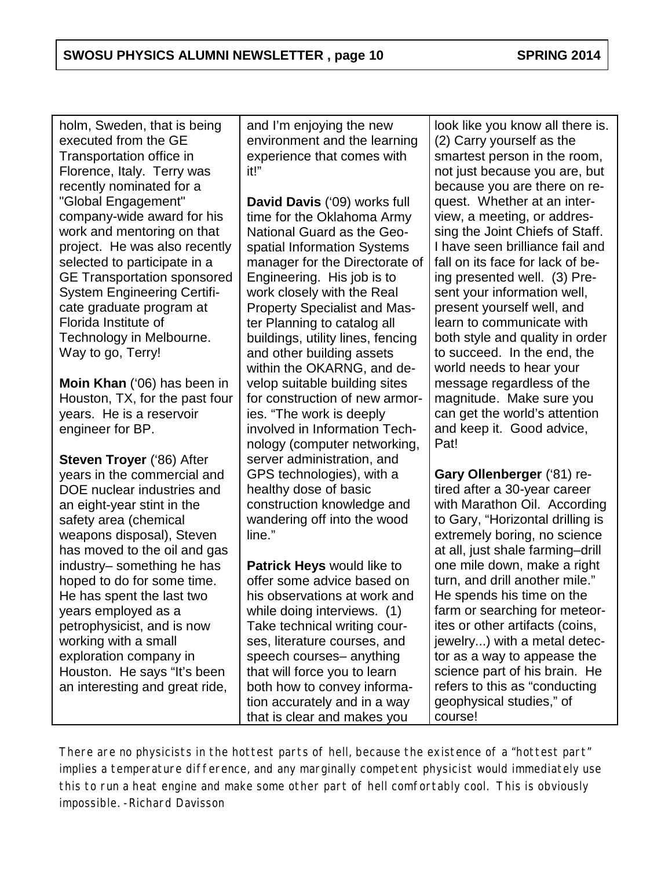holm, Sweden, that is being executed from the GE Transportation office in Florence, Italy. Terry was recently nominated for a "Global Engagement" company-wide award for his work and mentoring on that project. He was also recently selected to participate in a GE Transportation sponsored System Engineering Certificate graduate program at Florida Institute of Technology in Melbourne. Way to go, Terry!

**Moin Khan** ('06) has been in Houston, TX, for the past four years. He is a reservoir engineer for BP.

**Steven Troyer** ('86) After years in the commercial and DOE nuclear industries and an eight-year stint in the safety area (chemical weapons disposal), Steven has moved to the oil and gas industry– something he has hoped to do for some time. He has spent the last two years employed as a petrophysicist, and is now working with a small exploration company in Houston. He says "It's been an interesting and great ride,

and I'm enjoying the new environment and the learning experience that comes with it!"

**David Davis** ('09) works full time for the Oklahoma Army National Guard as the Geospatial Information Systems manager for the Directorate of Engineering. His job is to work closely with the Real Property Specialist and Master Planning to catalog all buildings, utility lines, fencing and other building assets within the OKARNG, and develop suitable building sites for construction of new armories. "The work is deeply involved in Information Technology (computer networking, server administration, and GPS technologies), with a healthy dose of basic construction knowledge and wandering off into the wood line."

**Patrick Heys** would like to offer some advice based on his observations at work and while doing interviews. (1) Take technical writing courses, literature courses, and speech courses– anything that will force you to learn both how to convey information accurately and in a way that is clear and makes you

look like you know all there is. (2) Carry yourself as the smartest person in the room, not just because you are, but because you are there on request. Whether at an interview, a meeting, or addressing the Joint Chiefs of Staff. I have seen brilliance fail and fall on its face for lack of being presented well. (3) Present your information well, present yourself well, and learn to communicate with both style and quality in order to succeed. In the end, the world needs to hear your message regardless of the magnitude. Make sure you can get the world's attention and keep it. Good advice, Pat!

**Gary Ollenberger** ('81) retired after a 30-year career with Marathon Oil. According to Gary, "Horizontal drilling is extremely boring, no science at all, just shale farming–drill one mile down, make a right turn, and drill another mile." He spends his time on the farm or searching for meteorites or other artifacts (coins, jewelry...) with a metal detector as a way to appease the science part of his brain. He refers to this as "conducting geophysical studies," of course!

*There are no physicists in the hottest parts of hell, because the existence of a "hottest part" implies a temperature difference, and any marginally competent physicist would immediately use this to run a heat engine and make some other part of hell comfortably cool. This is obviously impossible. -Richard Davisson*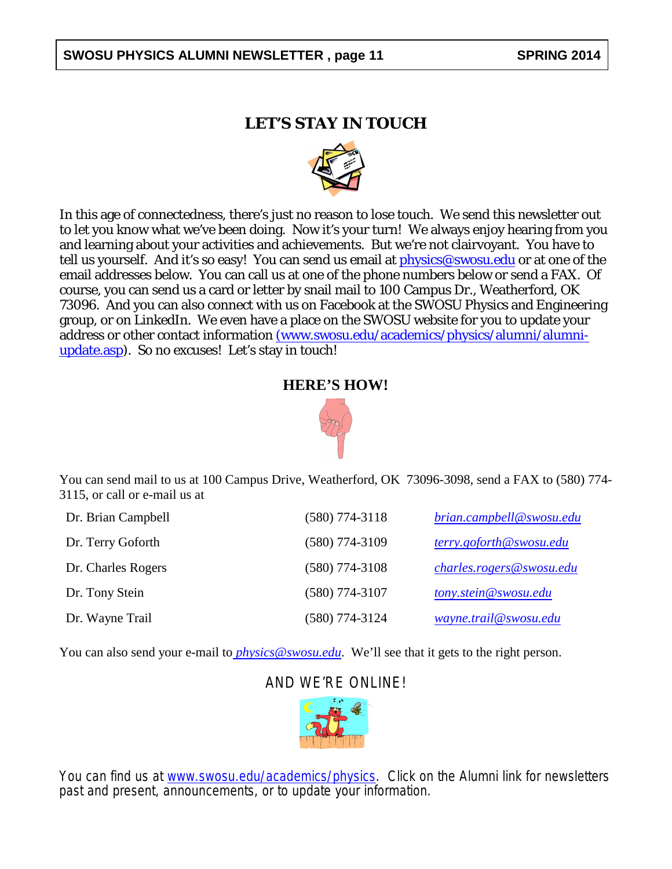#### SWOSU PHYSICS ALUMNI NEWSLETTER, page 11 **SPRING 2014**

#### **LET'S STAY IN TOUCH**



In this age of connectedness, there's just no reason to lose touch. We send this newsletter out to let you know what we've been doing. Now it's your turn! We always enjoy hearing from you and learning about your activities and achievements. But we're not clairvoyant. You have to tell us yourself. And it's so easy! You can send us email at [physics@swosu.edu](mailto:physics@swosu.edu) or at one of the email addresses below. You can call us at one of the phone numbers below or send a FAX. Of course, you can send us a card or letter by snail mail to 100 Campus Dr., Weatherford, OK 73096. And you can also connect with us on Facebook at the SWOSU Physics and Engineering group, or on LinkedIn. We even have a place on the SWOSU website for you to update your address or other contact information [\(www.swosu.edu/academics/physics/alumni/alumni](http://www.swosu.edu/academics/physics/alumni/alumni-update.aspx)[update.asp](http://www.swosu.edu/academics/physics/alumni/alumni-update.aspx)). So no excuses! Let's stay in touch!

#### **HERE'S HOW!**



You can send mail to us at 100 Campus Drive, Weatherford, OK 73096-3098, send a FAX to (580) 774- 3115, or call or e-mail us at

| Dr. Brian Campbell | $(580)$ 774-3118 | brian.campbell@swosu.edu |
|--------------------|------------------|--------------------------|
| Dr. Terry Goforth  | $(580)$ 774-3109 | terry.goforth@swosu.edu  |
| Dr. Charles Rogers | $(580)$ 774-3108 | charles.rogers@swosu.edu |
| Dr. Tony Stein     | $(580)$ 774-3107 | tony.stein@swosu.edu     |
| Dr. Wayne Trail    | $(580)$ 774-3124 | wayne.trail@swosu.edu    |

You can also send your e-mail to *[physics@swosu.edu](mailto:%20physics@swosu.edu)*. We'll see that it gets to the right person.

#### AND WE'RE ONLINE!



You can find us at *[www.swosu.edu/academics/physics](http://www.swosu.edu/academics/physics)*. Click on the Alumni link for newsletters past and present, announcements, or to update your information.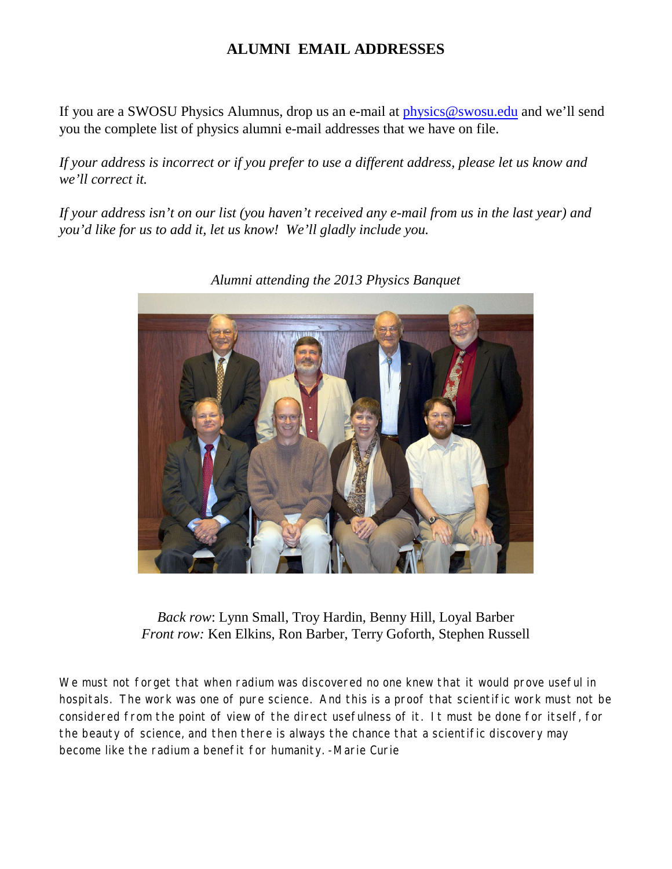#### **ALUMNI EMAIL ADDRESSES**

If you are a SWOSU Physics Alumnus, drop us an e-mail at [physics@swosu.edu](mailto:physics@swosu.edu) and we'll send you the complete list of physics alumni e-mail addresses that we have on file.

*If your address is incorrect or if you prefer to use a different address, please let us know and we'll correct it.*

*If your address isn't on our list (you haven't received any e-mail from us in the last year) and you'd like for us to add it, let us know! We'll gladly include you.*



*Alumni attending the 2013 Physics Banquet*

*Back row*: Lynn Small, Troy Hardin, Benny Hill, Loyal Barber *Front row:* Ken Elkins, Ron Barber, Terry Goforth, Stephen Russell

*We must not forget that when radium was discovered no one knew that it would prove useful in hospitals. The work was one of pure science. And this is a proof that scientific work must not be considered from the point of view of the direct usefulness of it. It must be done for itself, for the beauty of science, and then there is always the chance that a scientific discovery may become like the radium a benefit for humanity. -Marie Curie*